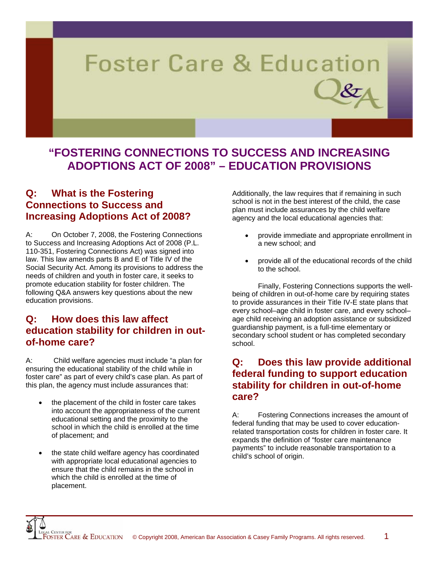# **Foster Care & Education**

# **"FOSTERING CONNECTIONS TO SUCCESS AND INCREASING ADOPTIONS ACT OF 2008" – EDUCATION PROVISIONS**

# **Q: What is the Fostering Connections to Success and Increasing Adoptions Act of 2008?**

A: On October 7, 2008, the Fostering Connections to Success and Increasing Adoptions Act of 2008 (P.L. 110-351, Fostering Connections Act) was signed into law. This law amends parts B and E of Title IV of the Social Security Act. Among its provisions to address the needs of children and youth in foster care, it seeks to promote education stability for foster children. The following Q&A answers key questions about the new education provisions.

# **Q: How does this law affect education stability for children in outof-home care?**

A: Child welfare agencies must include "a plan for ensuring the educational stability of the child while in foster care" as part of every child's case plan. As part of this plan, the agency must include assurances that:

- the placement of the child in foster care takes into account the appropriateness of the current educational setting and the proximity to the school in which the child is enrolled at the time of placement; and
- the state child welfare agency has coordinated with appropriate local educational agencies to ensure that the child remains in the school in which the child is enrolled at the time of placement.

Additionally, the law requires that if remaining in such school is not in the best interest of the child, the case plan must include assurances by the child welfare agency and the local educational agencies that:

- provide immediate and appropriate enrollment in a new school; and
- provide all of the educational records of the child to the school.

 Finally, Fostering Connections supports the wellbeing of children in out-of-home care by requiring states to provide assurances in their Title IV-E state plans that every school–age child in foster care, and every school– age child receiving an adoption assistance or subsidized guardianship payment, is a full-time elementary or secondary school student or has completed secondary school.

#### **Q: Does this law provide additional federal funding to support education stability for children in out-of-home care?**

A: Fostering Connections increases the amount of federal funding that may be used to cover educationrelated transportation costs for children in foster care. It expands the definition of "foster care maintenance payments" to include reasonable transportation to a child's school of origin.